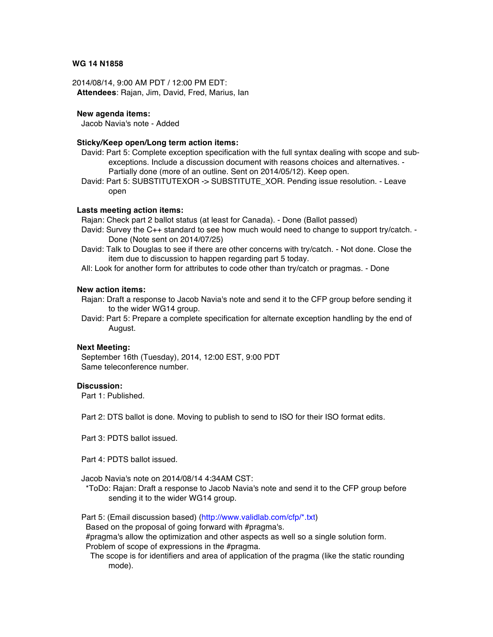### **WG 14 N1858**

2014/08/14, 9:00 AM PDT / 12:00 PM EDT: **Attendees**: Rajan, Jim, David, Fred, Marius, Ian

### **New agenda items:**

Jacob Navia's note - Added

# **Sticky/Keep open/Long term action items:**

- David: Part 5: Complete exception specification with the full syntax dealing with scope and subexceptions. Include a discussion document with reasons choices and alternatives. - Partially done (more of an outline. Sent on 2014/05/12). Keep open.
- David: Part 5: SUBSTITUTEXOR -> SUBSTITUTE\_XOR. Pending issue resolution. Leave open

### **Lasts meeting action items:**

Rajan: Check part 2 ballot status (at least for Canada). - Done (Ballot passed)

- David: Survey the C++ standard to see how much would need to change to support try/catch. Done (Note sent on 2014/07/25)
- David: Talk to Douglas to see if there are other concerns with try/catch. Not done. Close the item due to discussion to happen regarding part 5 today.
- All: Look for another form for attributes to code other than try/catch or pragmas. Done

# **New action items:**

- Rajan: Draft a response to Jacob Navia's note and send it to the CFP group before sending it to the wider WG14 group.
- David: Part 5: Prepare a complete specification for alternate exception handling by the end of August.

#### **Next Meeting:**

September 16th (Tuesday), 2014, 12:00 EST, 9:00 PDT Same teleconference number.

#### **Discussion:**

Part 1: Published.

Part 2: DTS ballot is done. Moving to publish to send to ISO for their ISO format edits.

Part 3: PDTS ballot issued.

Part 4: PDTS ballot issued.

Jacob Navia's note on 2014/08/14 4:34AM CST:

\*ToDo: Rajan: Draft a response to Jacob Navia's note and send it to the CFP group before sending it to the wider WG14 group.

Part 5: (Email discussion based) (http://www.validlab.com/cfp/\*.txt)

Based on the proposal of going forward with #pragma's.

#pragma's allow the optimization and other aspects as well so a single solution form.

Problem of scope of expressions in the #pragma.

The scope is for identifiers and area of application of the pragma (like the static rounding mode).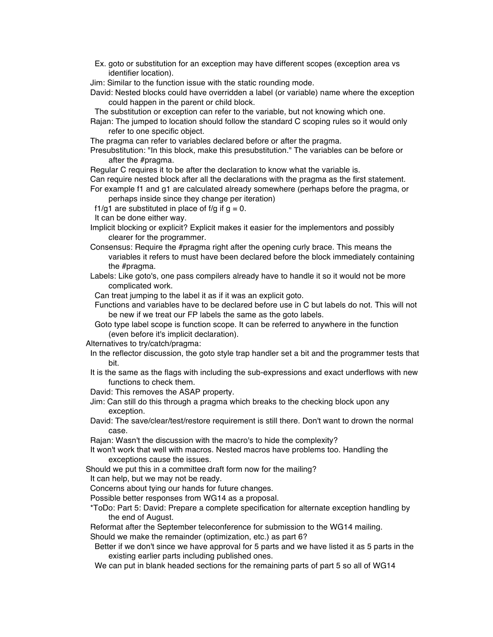Ex. goto or substitution for an exception may have different scopes (exception area vs identifier location).

Jim: Similar to the function issue with the static rounding mode.

David: Nested blocks could have overridden a label (or variable) name where the exception could happen in the parent or child block.

The substitution or exception can refer to the variable, but not knowing which one.

Rajan: The jumped to location should follow the standard C scoping rules so it would only refer to one specific object.

The pragma can refer to variables declared before or after the pragma.

Presubstitution: "In this block, make this presubstitution." The variables can be before or after the #pragma.

Regular C requires it to be after the declaration to know what the variable is.

Can require nested block after all the declarations with the pragma as the first statement. For example f1 and g1 are calculated already somewhere (perhaps before the pragma, or

perhaps inside since they change per iteration)

f1/g1 are substituted in place of f/g if  $g = 0$ .

It can be done either way.

- Implicit blocking or explicit? Explicit makes it easier for the implementors and possibly clearer for the programmer.
- Consensus: Require the #pragma right after the opening curly brace. This means the variables it refers to must have been declared before the block immediately containing the #pragma.
- Labels: Like goto's, one pass compilers already have to handle it so it would not be more complicated work.

Can treat jumping to the label it as if it was an explicit goto.

- Functions and variables have to be declared before use in C but labels do not. This will not be new if we treat our FP labels the same as the goto labels.
- Goto type label scope is function scope. It can be referred to anywhere in the function (even before it's implicit declaration).

Alternatives to try/catch/pragma:

- In the reflector discussion, the goto style trap handler set a bit and the programmer tests that bit.
- It is the same as the flags with including the sub-expressions and exact underflows with new functions to check them.

David: This removes the ASAP property.

- Jim: Can still do this through a pragma which breaks to the checking block upon any exception.
- David: The save/clear/test/restore requirement is still there. Don't want to drown the normal case.

Rajan: Wasn't the discussion with the macro's to hide the complexity?

It won't work that well with macros. Nested macros have problems too. Handling the exceptions cause the issues.

Should we put this in a committee draft form now for the mailing?

It can help, but we may not be ready.

Concerns about tying our hands for future changes.

Possible better responses from WG14 as a proposal.

\*ToDo: Part 5: David: Prepare a complete specification for alternate exception handling by the end of August.

Reformat after the September teleconference for submission to the WG14 mailing.

Should we make the remainder (optimization, etc.) as part 6?

- Better if we don't since we have approval for 5 parts and we have listed it as 5 parts in the existing earlier parts including published ones.
- We can put in blank headed sections for the remaining parts of part 5 so all of WG14